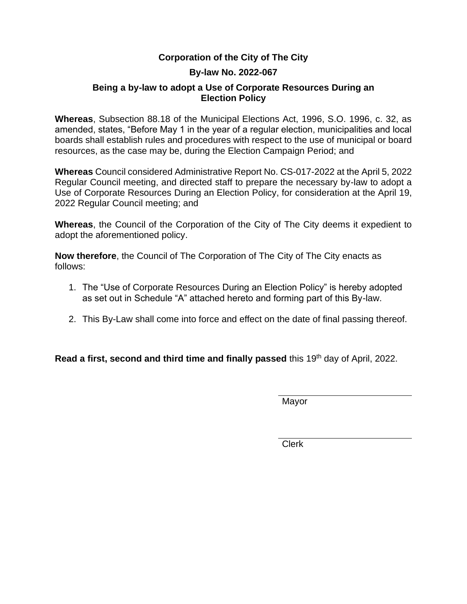#### **Corporation of the City of The City**

#### **By-law No. 2022-067**

#### **Being a by-law to adopt a Use of Corporate Resources During an Election Policy**

**Whereas**, Subsection 88.18 of the Municipal Elections Act, 1996, S.O. 1996, c. 32, as amended, states, "Before May 1 in the year of a regular election, municipalities and local boards shall establish rules and procedures with respect to the use of municipal or board resources, as the case may be, during the Election Campaign Period; and

**Whereas** Council considered Administrative Report No. CS-017-2022 at the April 5, 2022 Regular Council meeting, and directed staff to prepare the necessary by-law to adopt a Use of Corporate Resources During an Election Policy, for consideration at the April 19, 2022 Regular Council meeting; and

**Whereas**, the Council of the Corporation of the City of The City deems it expedient to adopt the aforementioned policy.

**Now therefore**, the Council of The Corporation of The City of The City enacts as follows:

- 1. The "Use of Corporate Resources During an Election Policy" is hereby adopted as set out in Schedule "A" attached hereto and forming part of this By-law.
- 2. This By-Law shall come into force and effect on the date of final passing thereof.

**Read a first, second and third time and finally passed** this 19<sup>th</sup> day of April, 2022.

Mayor

Clerk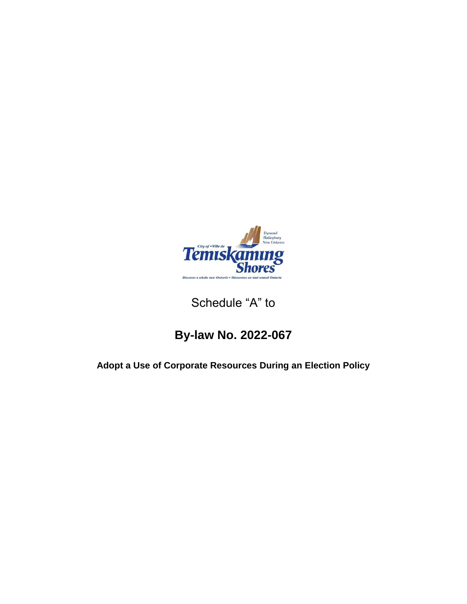

## Schedule "A" to

# **By-law No. 2022-067**

## **Adopt a Use of Corporate Resources During an Election Policy**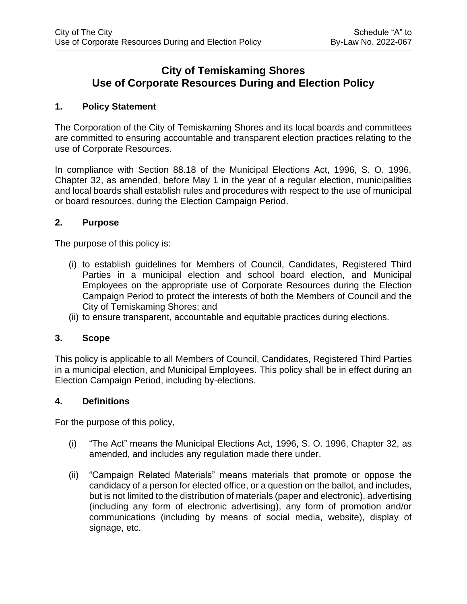### **City of Temiskaming Shores Use of Corporate Resources During and Election Policy**

#### **1. Policy Statement**

The Corporation of the City of Temiskaming Shores and its local boards and committees are committed to ensuring accountable and transparent election practices relating to the use of Corporate Resources.

In compliance with Section 88.18 of the Municipal Elections Act, 1996, S. O. 1996, Chapter 32, as amended, before May 1 in the year of a regular election, municipalities and local boards shall establish rules and procedures with respect to the use of municipal or board resources, during the Election Campaign Period.

#### **2. Purpose**

The purpose of this policy is:

- (i) to establish guidelines for Members of Council, Candidates, Registered Third Parties in a municipal election and school board election, and Municipal Employees on the appropriate use of Corporate Resources during the Election Campaign Period to protect the interests of both the Members of Council and the City of Temiskaming Shores; and
- (ii) to ensure transparent, accountable and equitable practices during elections.

#### **3. Scope**

This policy is applicable to all Members of Council, Candidates, Registered Third Parties in a municipal election, and Municipal Employees. This policy shall be in effect during an Election Campaign Period, including by-elections.

#### **4. Definitions**

For the purpose of this policy,

- (i) "The Act" means the Municipal Elections Act, 1996, S. O. 1996, Chapter 32, as amended, and includes any regulation made there under.
- (ii) "Campaign Related Materials" means materials that promote or oppose the candidacy of a person for elected office, or a question on the ballot, and includes, but is not limited to the distribution of materials (paper and electronic), advertising (including any form of electronic advertising), any form of promotion and/or communications (including by means of social media, website), display of signage, etc.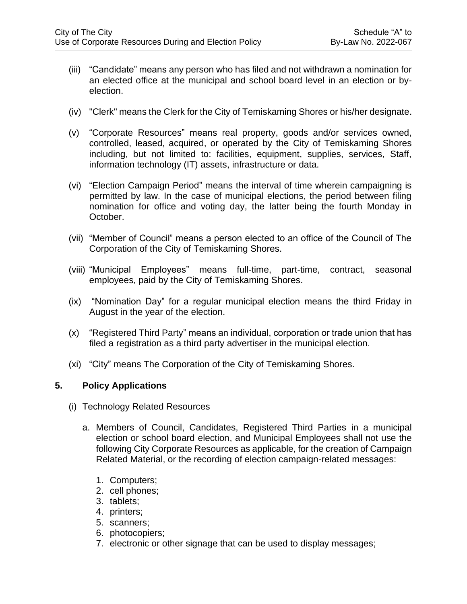- (iii) "Candidate" means any person who has filed and not withdrawn a nomination for an elected office at the municipal and school board level in an election or byelection.
- (iv) "Clerk" means the Clerk for the City of Temiskaming Shores or his/her designate.
- (v) "Corporate Resources" means real property, goods and/or services owned, controlled, leased, acquired, or operated by the City of Temiskaming Shores including, but not limited to: facilities, equipment, supplies, services, Staff, information technology (IT) assets, infrastructure or data.
- (vi) "Election Campaign Period" means the interval of time wherein campaigning is permitted by law. In the case of municipal elections, the period between filing nomination for office and voting day, the latter being the fourth Monday in October.
- (vii) "Member of Council" means a person elected to an office of the Council of The Corporation of the City of Temiskaming Shores.
- (viii) "Municipal Employees" means full-time, part-time, contract, seasonal employees, paid by the City of Temiskaming Shores.
- (ix) "Nomination Day" for a regular municipal election means the third Friday in August in the year of the election.
- (x) "Registered Third Party" means an individual, corporation or trade union that has filed a registration as a third party advertiser in the municipal election.
- (xi) "City" means The Corporation of the City of Temiskaming Shores.

#### **5. Policy Applications**

- (i) Technology Related Resources
	- a. Members of Council, Candidates, Registered Third Parties in a municipal election or school board election, and Municipal Employees shall not use the following City Corporate Resources as applicable, for the creation of Campaign Related Material, or the recording of election campaign-related messages:
		- 1. Computers;
		- 2. cell phones;
		- 3. tablets;
		- 4. printers;
		- 5. scanners;
		- 6. photocopiers;
		- 7. electronic or other signage that can be used to display messages;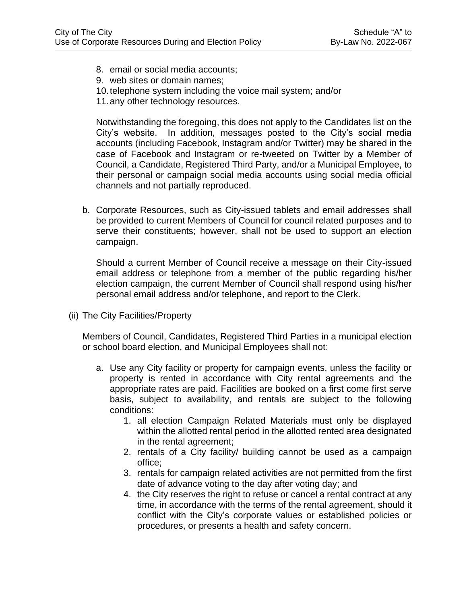- 8. email or social media accounts;
- 9. web sites or domain names;
- 10.telephone system including the voice mail system; and/or
- 11.any other technology resources.

Notwithstanding the foregoing, this does not apply to the Candidates list on the City's website. In addition, messages posted to the City's social media accounts (including Facebook, Instagram and/or Twitter) may be shared in the case of Facebook and Instagram or re-tweeted on Twitter by a Member of Council, a Candidate, Registered Third Party, and/or a Municipal Employee, to their personal or campaign social media accounts using social media official channels and not partially reproduced.

b. Corporate Resources, such as City-issued tablets and email addresses shall be provided to current Members of Council for council related purposes and to serve their constituents; however, shall not be used to support an election campaign.

Should a current Member of Council receive a message on their City-issued email address or telephone from a member of the public regarding his/her election campaign, the current Member of Council shall respond using his/her personal email address and/or telephone, and report to the Clerk.

(ii) The City Facilities/Property

Members of Council, Candidates, Registered Third Parties in a municipal election or school board election, and Municipal Employees shall not:

- a. Use any City facility or property for campaign events, unless the facility or property is rented in accordance with City rental agreements and the appropriate rates are paid. Facilities are booked on a first come first serve basis, subject to availability, and rentals are subject to the following conditions:
	- 1. all election Campaign Related Materials must only be displayed within the allotted rental period in the allotted rented area designated in the rental agreement;
	- 2. rentals of a City facility/ building cannot be used as a campaign office;
	- 3. rentals for campaign related activities are not permitted from the first date of advance voting to the day after voting day; and
	- 4. the City reserves the right to refuse or cancel a rental contract at any time, in accordance with the terms of the rental agreement, should it conflict with the City's corporate values or established policies or procedures, or presents a health and safety concern.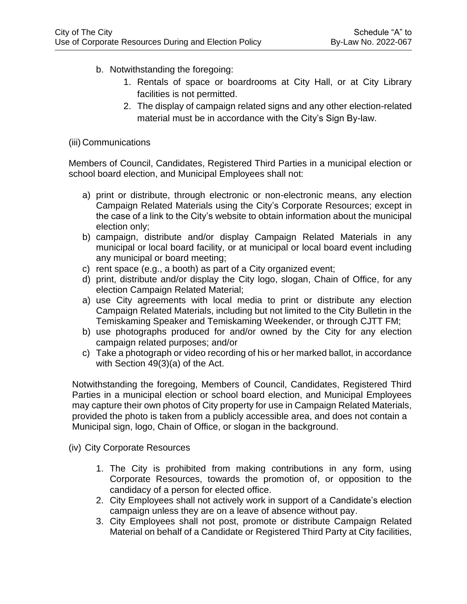- b. Notwithstanding the foregoing:
	- 1. Rentals of space or boardrooms at City Hall, or at City Library facilities is not permitted.
	- 2. The display of campaign related signs and any other election-related material must be in accordance with the City's Sign By-law.

#### (iii) Communications

Members of Council, Candidates, Registered Third Parties in a municipal election or school board election, and Municipal Employees shall not:

- a) print or distribute, through electronic or non-electronic means, any election Campaign Related Materials using the City's Corporate Resources; except in the case of a link to the City's website to obtain information about the municipal election only;
- b) campaign, distribute and/or display Campaign Related Materials in any municipal or local board facility, or at municipal or local board event including any municipal or board meeting;
- c) rent space (e.g., a booth) as part of a City organized event;
- d) print, distribute and/or display the City logo, slogan, Chain of Office, for any election Campaign Related Material;
- a) use City agreements with local media to print or distribute any election Campaign Related Materials, including but not limited to the City Bulletin in the Temiskaming Speaker and Temiskaming Weekender, or through CJTT FM;
- b) use photographs produced for and/or owned by the City for any election campaign related purposes; and/or
- c) Take a photograph or video recording of his or her marked ballot, in accordance with Section 49(3)(a) of the Act.

Notwithstanding the foregoing, Members of Council, Candidates, Registered Third Parties in a municipal election or school board election, and Municipal Employees may capture their own photos of City property for use in Campaign Related Materials, provided the photo is taken from a publicly accessible area, and does not contain a Municipal sign, logo, Chain of Office, or slogan in the background.

- (iv) City Corporate Resources
	- 1. The City is prohibited from making contributions in any form, using Corporate Resources, towards the promotion of, or opposition to the candidacy of a person for elected office.
	- 2. City Employees shall not actively work in support of a Candidate's election campaign unless they are on a leave of absence without pay.
	- 3. City Employees shall not post, promote or distribute Campaign Related Material on behalf of a Candidate or Registered Third Party at City facilities,